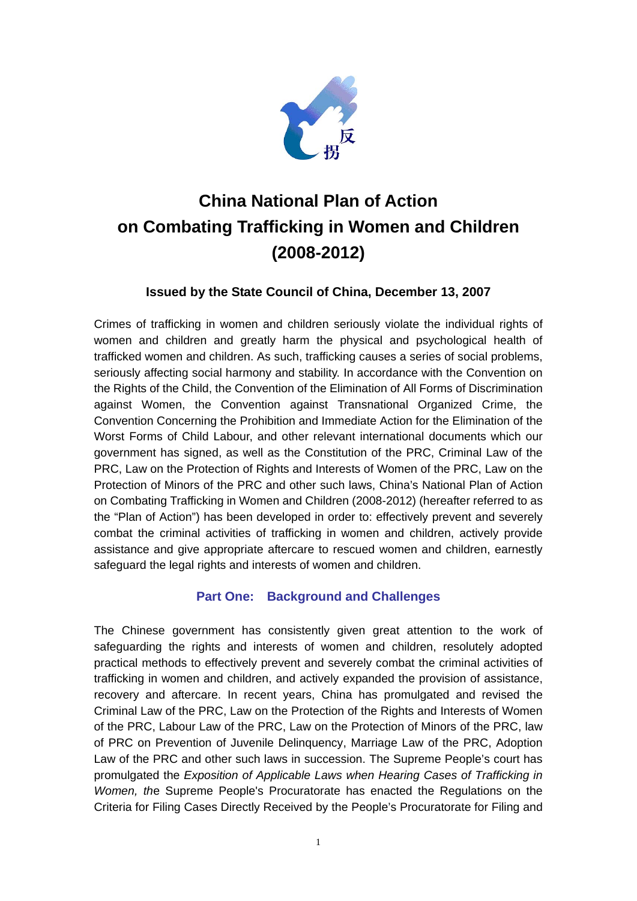

# **China National Plan of Action on Combating Trafficking in Women and Children (2008-2012)**

## **Issued by the State Council of China, December 13, 2007**

Crimes of trafficking in women and children seriously violate the individual rights of women and children and greatly harm the physical and psychological health of trafficked women and children. As such, trafficking causes a series of social problems, seriously affecting social harmony and stability. In accordance with the Convention on the Rights of the Child, the Convention of the Elimination of All Forms of Discrimination against Women, the Convention against Transnational Organized Crime, the Convention Concerning the Prohibition and Immediate Action for the Elimination of the Worst Forms of Child Labour, and other relevant international documents which our government has signed, as well as the Constitution of the PRC, Criminal Law of the PRC, Law on the Protection of Rights and Interests of Women of the PRC, Law on the Protection of Minors of the PRC and other such laws, China's National Plan of Action on Combating Trafficking in Women and Children (2008-2012) (hereafter referred to as the "Plan of Action") has been developed in order to: effectively prevent and severely combat the criminal activities of trafficking in women and children, actively provide assistance and give appropriate aftercare to rescued women and children, earnestly safeguard the legal rights and interests of women and children.

## **Part One: Background and Challenges**

The Chinese government has consistently given great attention to the work of safeguarding the rights and interests of women and children, resolutely adopted practical methods to effectively prevent and severely combat the criminal activities of trafficking in women and children, and actively expanded the provision of assistance, recovery and aftercare. In recent years, China has promulgated and revised the Criminal Law of the PRC, Law on the Protection of the Rights and Interests of Women of the PRC, Labour Law of the PRC, Law on the Protection of Minors of the PRC, law of PRC on Prevention of Juvenile Delinquency, Marriage Law of the PRC, Adoption Law of the PRC and other such laws in succession. The Supreme People's court has promulgated the *Exposition of Applicable Laws when Hearing Cases of Trafficking in Women, th*e Supreme People's Procuratorate has enacted the Regulations on the Criteria for Filing Cases Directly Received by the People's Procuratorate for Filing and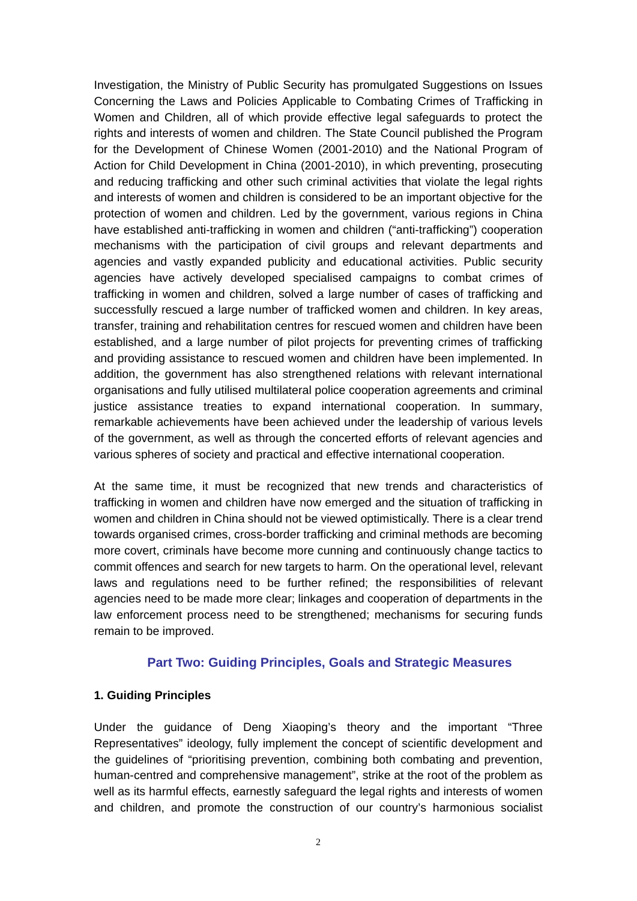Investigation, the Ministry of Public Security has promulgated Suggestions on Issues Concerning the Laws and Policies Applicable to Combating Crimes of Trafficking in Women and Children, all of which provide effective legal safeguards to protect the rights and interests of women and children. The State Council published the Program for the Development of Chinese Women (2001-2010) and the National Program of Action for Child Development in China (2001-2010), in which preventing, prosecuting and reducing trafficking and other such criminal activities that violate the legal rights and interests of women and children is considered to be an important objective for the protection of women and children. Led by the government, various regions in China have established anti-trafficking in women and children ("anti-trafficking") cooperation mechanisms with the participation of civil groups and relevant departments and agencies and vastly expanded publicity and educational activities. Public security agencies have actively developed specialised campaigns to combat crimes of trafficking in women and children, solved a large number of cases of trafficking and successfully rescued a large number of trafficked women and children. In key areas, transfer, training and rehabilitation centres for rescued women and children have been established, and a large number of pilot projects for preventing crimes of trafficking and providing assistance to rescued women and children have been implemented. In addition, the government has also strengthened relations with relevant international organisations and fully utilised multilateral police cooperation agreements and criminal justice assistance treaties to expand international cooperation. In summary, remarkable achievements have been achieved under the leadership of various levels of the government, as well as through the concerted efforts of relevant agencies and various spheres of society and practical and effective international cooperation.

At the same time, it must be recognized that new trends and characteristics of trafficking in women and children have now emerged and the situation of trafficking in women and children in China should not be viewed optimistically. There is a clear trend towards organised crimes, cross-border trafficking and criminal methods are becoming more covert, criminals have become more cunning and continuously change tactics to commit offences and search for new targets to harm. On the operational level, relevant laws and regulations need to be further refined; the responsibilities of relevant agencies need to be made more clear; linkages and cooperation of departments in the law enforcement process need to be strengthened; mechanisms for securing funds remain to be improved.

#### **Part Two: Guiding Principles, Goals and Strategic Measures**

#### **1. Guiding Principles**

Under the guidance of Deng Xiaoping's theory and the important "Three Representatives" ideology, fully implement the concept of scientific development and the guidelines of "prioritising prevention, combining both combating and prevention, human-centred and comprehensive management", strike at the root of the problem as well as its harmful effects, earnestly safeguard the legal rights and interests of women and children, and promote the construction of our country's harmonious socialist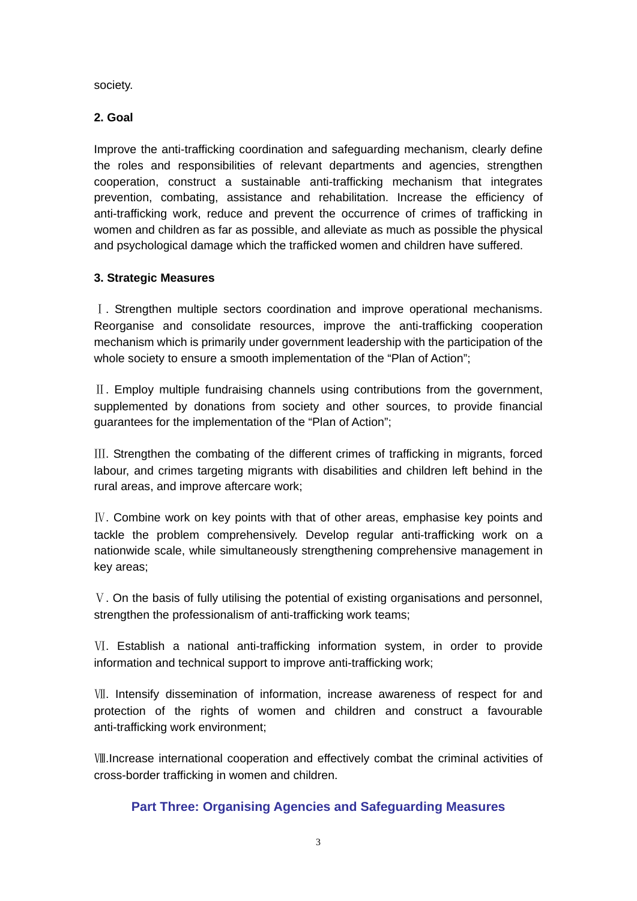society.

#### **2. Goal**

Improve the anti-trafficking coordination and safeguarding mechanism, clearly define the roles and responsibilities of relevant departments and agencies, strengthen cooperation, construct a sustainable anti-trafficking mechanism that integrates prevention, combating, assistance and rehabilitation. Increase the efficiency of anti-trafficking work, reduce and prevent the occurrence of crimes of trafficking in women and children as far as possible, and alleviate as much as possible the physical and psychological damage which the trafficked women and children have suffered.

#### **3. Strategic Measures**

Ⅰ. Strengthen multiple sectors coordination and improve operational mechanisms. Reorganise and consolidate resources, improve the anti-trafficking cooperation mechanism which is primarily under government leadership with the participation of the whole society to ensure a smooth implementation of the "Plan of Action":

Ⅱ. Employ multiple fundraising channels using contributions from the government, supplemented by donations from society and other sources, to provide financial guarantees for the implementation of the "Plan of Action";

Ⅲ. Strengthen the combating of the different crimes of trafficking in migrants, forced labour, and crimes targeting migrants with disabilities and children left behind in the rural areas, and improve aftercare work;

IV. Combine work on key points with that of other areas, emphasise key points and tackle the problem comprehensively. Develop regular anti-trafficking work on a nationwide scale, while simultaneously strengthening comprehensive management in key areas;

Ⅴ. On the basis of fully utilising the potential of existing organisations and personnel, strengthen the professionalism of anti-trafficking work teams;

Ⅵ. Establish a national anti-trafficking information system, in order to provide information and technical support to improve anti-trafficking work;

Ⅶ. Intensify dissemination of information, increase awareness of respect for and protection of the rights of women and children and construct a favourable anti-trafficking work environment;

Ⅷ.Increase international cooperation and effectively combat the criminal activities of cross-border trafficking in women and children.

### **Part Three: Organising Agencies and Safeguarding Measures**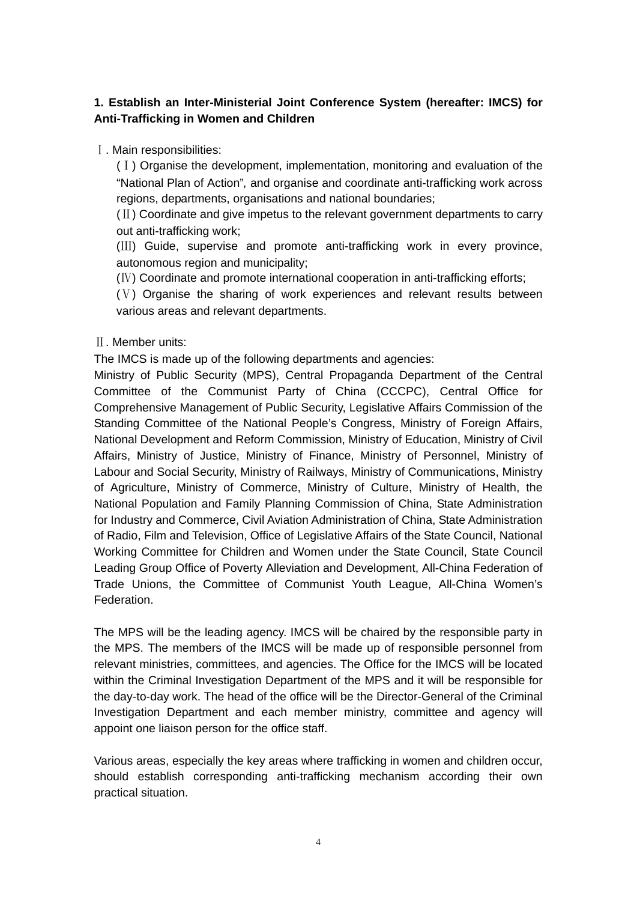## **1. Establish an Inter-Ministerial Joint Conference System (hereafter: IMCS) for Anti-Trafficking in Women and Children**

#### Ⅰ. Main responsibilities:

(Ⅰ) Organise the development, implementation, monitoring and evaluation of the "National Plan of Action"*,* and organise and coordinate anti-trafficking work across regions, departments, organisations and national boundaries;

(Ⅱ) Coordinate and give impetus to the relevant government departments to carry out anti-trafficking work;

(Ⅲ) Guide, supervise and promote anti-trafficking work in every province, autonomous region and municipality;

(Ⅳ) Coordinate and promote international cooperation in anti-trafficking efforts;

(Ⅴ) Organise the sharing of work experiences and relevant results between various areas and relevant departments.

#### Ⅱ. Member units:

The IMCS is made up of the following departments and agencies:

Ministry of Public Security (MPS), Central Propaganda Department of the Central Committee of the Communist Party of China (CCCPC), Central Office for Comprehensive Management of Public Security, Legislative Affairs Commission of the Standing Committee of the National People's Congress, Ministry of Foreign Affairs, National Development and Reform Commission, Ministry of Education, Ministry of Civil Affairs, Ministry of Justice, Ministry of Finance, Ministry of Personnel, Ministry of Labour and Social Security, Ministry of Railways, Ministry of Communications, Ministry of Agriculture, Ministry of Commerce, Ministry of Culture, Ministry of Health, the National Population and Family Planning Commission of China, State Administration for Industry and Commerce, Civil Aviation Administration of China, State Administration of Radio, Film and Television, Office of Legislative Affairs of the State Council, National Working Committee for Children and Women under the State Council, State Council Leading Group Office of Poverty Alleviation and Development, All-China Federation of Trade Unions, the Committee of Communist Youth League, All-China Women's Federation.

The MPS will be the leading agency. IMCS will be chaired by the responsible party in the MPS. The members of the IMCS will be made up of responsible personnel from relevant ministries, committees, and agencies. The Office for the IMCS will be located within the Criminal Investigation Department of the MPS and it will be responsible for the day-to-day work. The head of the office will be the Director-General of the Criminal Investigation Department and each member ministry, committee and agency will appoint one liaison person for the office staff.

Various areas, especially the key areas where trafficking in women and children occur, should establish corresponding anti-trafficking mechanism according their own practical situation.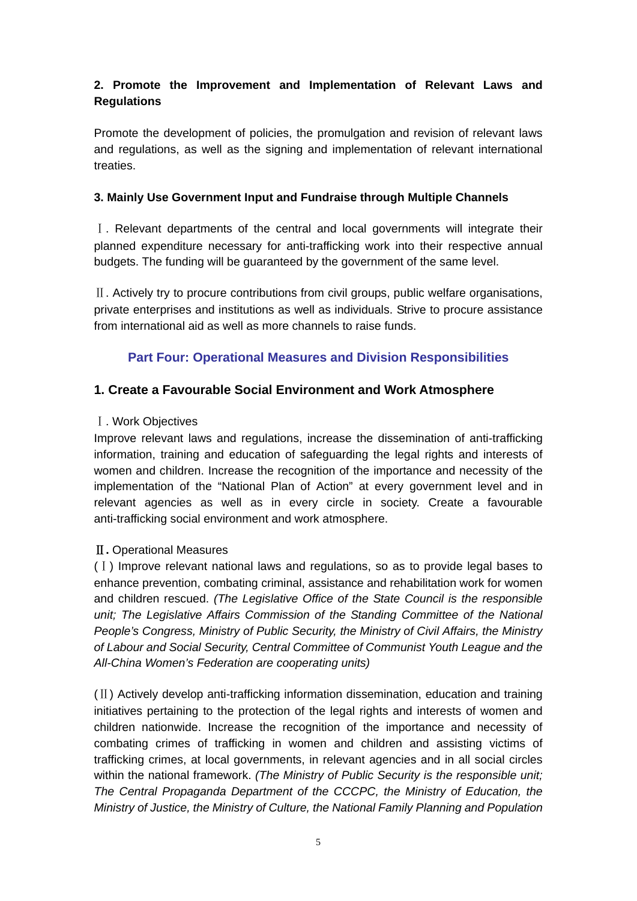## **2. Promote the Improvement and Implementation of Relevant Laws and Regulations**

Promote the development of policies, the promulgation and revision of relevant laws and regulations, as well as the signing and implementation of relevant international treaties.

#### **3. Mainly Use Government Input and Fundraise through Multiple Channels**

Ⅰ. Relevant departments of the central and local governments will integrate their planned expenditure necessary for anti-trafficking work into their respective annual budgets. The funding will be guaranteed by the government of the same level.

Ⅱ. Actively try to procure contributions from civil groups, public welfare organisations, private enterprises and institutions as well as individuals. Strive to procure assistance from international aid as well as more channels to raise funds.

## **Part Four: Operational Measures and Division Responsibilities**

## **1. Create a Favourable Social Environment and Work Atmosphere**

#### Ⅰ. Work Objectives

Improve relevant laws and regulations, increase the dissemination of anti-trafficking information, training and education of safeguarding the legal rights and interests of women and children. Increase the recognition of the importance and necessity of the implementation of the "National Plan of Action" at every government level and in relevant agencies as well as in every circle in society. Create a favourable anti-trafficking social environment and work atmosphere.

### Ⅱ**.** Operational Measures

(Ⅰ) Improve relevant national laws and regulations, so as to provide legal bases to enhance prevention, combating criminal, assistance and rehabilitation work for women and children rescued. *(The Legislative Office of the State Council is the responsible unit; The Legislative Affairs Commission of the Standing Committee of the National People's Congress, Ministry of Public Security, the Ministry of Civil Affairs, the Ministry of Labour and Social Security, Central Committee of Communist Youth League and the All-China Women's Federation are cooperating units)* 

(Ⅱ) Actively develop anti-trafficking information dissemination, education and training initiatives pertaining to the protection of the legal rights and interests of women and children nationwide. Increase the recognition of the importance and necessity of combating crimes of trafficking in women and children and assisting victims of trafficking crimes, at local governments, in relevant agencies and in all social circles within the national framework. *(The Ministry of Public Security is the responsible unit; The Central Propaganda Department of the CCCPC, the Ministry of Education, the Ministry of Justice, the Ministry of Culture, the National Family Planning and Population*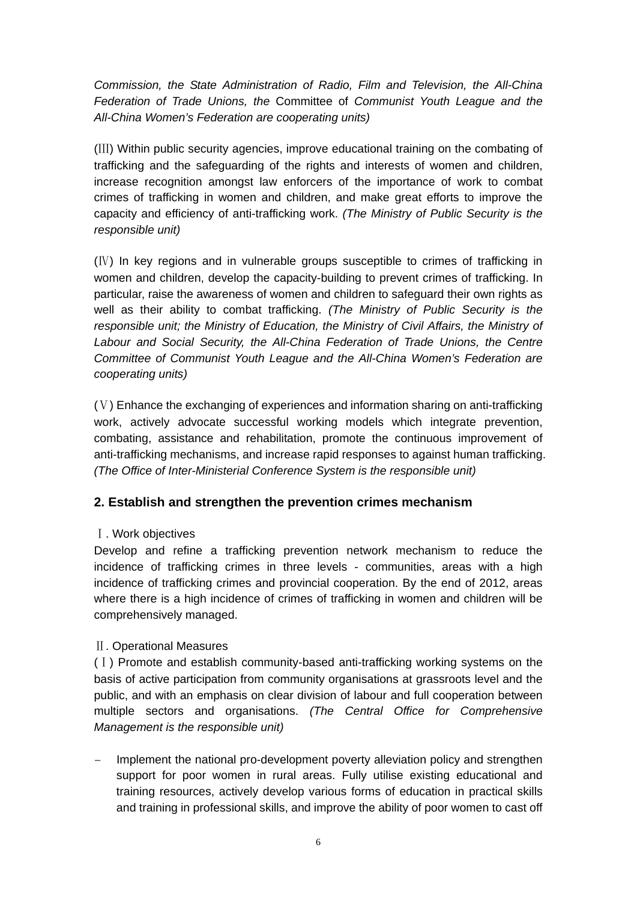*Commission, the State Administration of Radio, Film and Television, the All-China Federation of Trade Unions, the* Committee of *Communist Youth League and the All-China Women's Federation are cooperating units)* 

(Ⅲ) Within public security agencies, improve educational training on the combating of trafficking and the safeguarding of the rights and interests of women and children, increase recognition amongst law enforcers of the importance of work to combat crimes of trafficking in women and children, and make great efforts to improve the capacity and efficiency of anti-trafficking work. *(The Ministry of Public Security is the responsible unit)* 

(Ⅳ) In key regions and in vulnerable groups susceptible to crimes of trafficking in women and children, develop the capacity-building to prevent crimes of trafficking. In particular, raise the awareness of women and children to safeguard their own rights as well as their ability to combat trafficking. *(The Ministry of Public Security is the responsible unit; the Ministry of Education, the Ministry of Civil Affairs, the Ministry of Labour and Social Security, the All-China Federation of Trade Unions, the Centre Committee of Communist Youth League and the All-China Women's Federation are cooperating units)*

(Ⅴ) Enhance the exchanging of experiences and information sharing on anti-trafficking work, actively advocate successful working models which integrate prevention, combating, assistance and rehabilitation, promote the continuous improvement of anti-trafficking mechanisms, and increase rapid responses to against human trafficking. *(The Office of Inter-Ministerial Conference System is the responsible unit)* 

## **2. Establish and strengthen the prevention crimes mechanism**

## Ⅰ. Work objectives

Develop and refine a trafficking prevention network mechanism to reduce the incidence of trafficking crimes in three levels - communities, areas with a high incidence of trafficking crimes and provincial cooperation. By the end of 2012, areas where there is a high incidence of crimes of trafficking in women and children will be comprehensively managed.

### Ⅱ. Operational Measures

(Ⅰ) Promote and establish community-based anti-trafficking working systems on the basis of active participation from community organisations at grassroots level and the public, and with an emphasis on clear division of labour and full cooperation between multiple sectors and organisations. *(The Central Office for Comprehensive Management is the responsible unit)* 

– Implement the national pro-development poverty alleviation policy and strengthen support for poor women in rural areas. Fully utilise existing educational and training resources, actively develop various forms of education in practical skills and training in professional skills, and improve the ability of poor women to cast off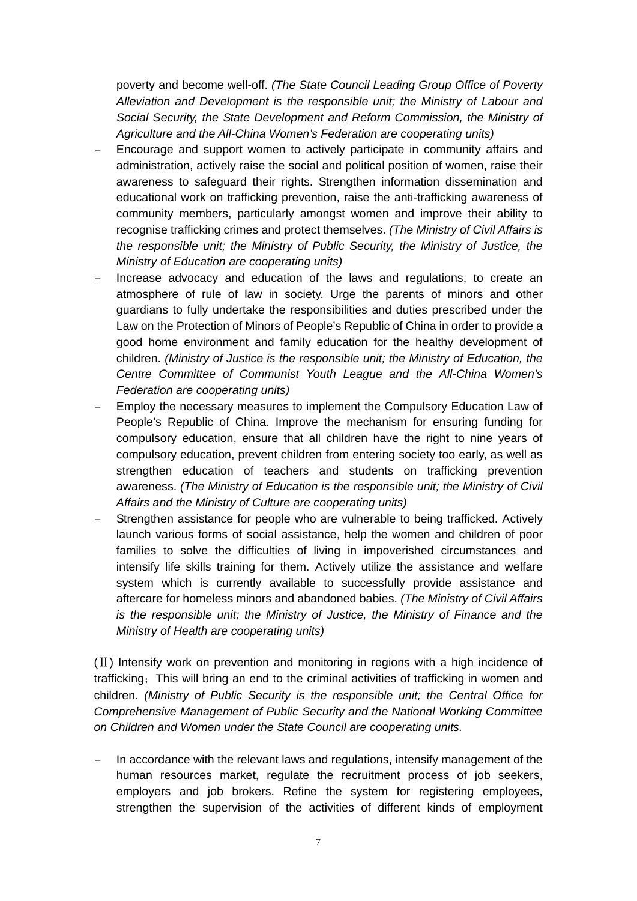poverty and become well-off. *(The State Council Leading Group Office of Poverty Alleviation and Development is the responsible unit; the Ministry of Labour and Social Security, the State Development and Reform Commission, the Ministry of Agriculture and the All-China Women's Federation are cooperating units)* 

- Encourage and support women to actively participate in community affairs and administration, actively raise the social and political position of women, raise their awareness to safeguard their rights. Strengthen information dissemination and educational work on trafficking prevention, raise the anti-trafficking awareness of community members, particularly amongst women and improve their ability to recognise trafficking crimes and protect themselves. *(The Ministry of Civil Affairs is the responsible unit; the Ministry of Public Security, the Ministry of Justice, the Ministry of Education are cooperating units)*
- Increase advocacy and education of the laws and regulations, to create an atmosphere of rule of law in society. Urge the parents of minors and other guardians to fully undertake the responsibilities and duties prescribed under the Law on the Protection of Minors of People's Republic of China in order to provide a good home environment and family education for the healthy development of children. *(Ministry of Justice is the responsible unit; the Ministry of Education, the Centre Committee of Communist Youth League and the All-China Women's Federation are cooperating units)*
- Employ the necessary measures to implement the Compulsory Education Law of People's Republic of China. Improve the mechanism for ensuring funding for compulsory education, ensure that all children have the right to nine years of compulsory education, prevent children from entering society too early, as well as strengthen education of teachers and students on trafficking prevention awareness. *(The Ministry of Education is the responsible unit; the Ministry of Civil Affairs and the Ministry of Culture are cooperating units)*
- Strengthen assistance for people who are vulnerable to being trafficked. Actively launch various forms of social assistance, help the women and children of poor families to solve the difficulties of living in impoverished circumstances and intensify life skills training for them. Actively utilize the assistance and welfare system which is currently available to successfully provide assistance and aftercare for homeless minors and abandoned babies. *(The Ministry of Civil Affairs is the responsible unit; the Ministry of Justice, the Ministry of Finance and the Ministry of Health are cooperating units)*

(Ⅱ) Intensify work on prevention and monitoring in regions with a high incidence of trafficking; This will bring an end to the criminal activities of trafficking in women and children. *(Ministry of Public Security is the responsible unit; the Central Office for Comprehensive Management of Public Security and the National Working Committee on Children and Women under the State Council are cooperating units.*

– In accordance with the relevant laws and regulations, intensify management of the human resources market, regulate the recruitment process of job seekers, employers and job brokers. Refine the system for registering employees, strengthen the supervision of the activities of different kinds of employment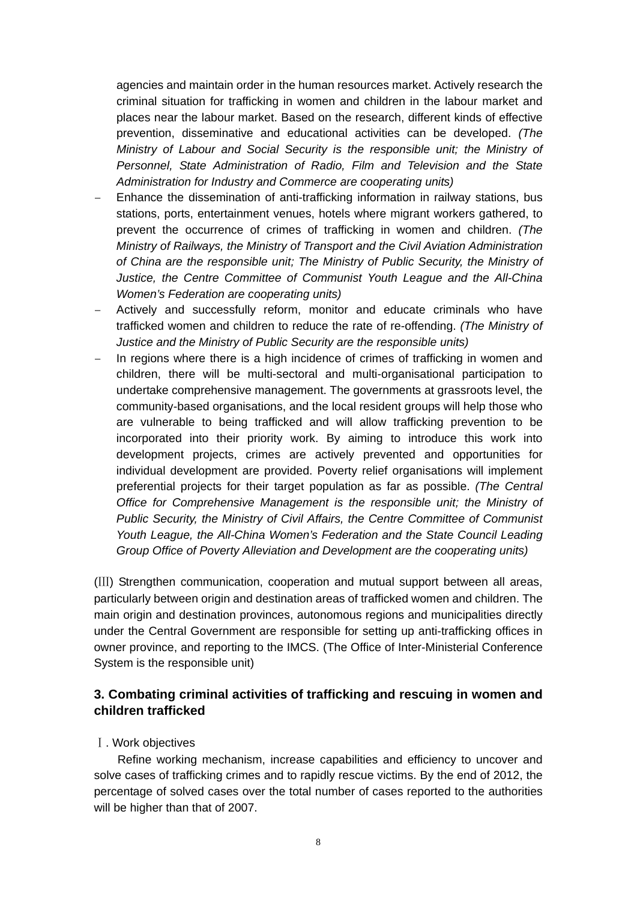agencies and maintain order in the human resources market. Actively research the criminal situation for trafficking in women and children in the labour market and places near the labour market. Based on the research, different kinds of effective prevention, disseminative and educational activities can be developed. *(The Ministry of Labour and Social Security is the responsible unit; the Ministry of Personnel, State Administration of Radio, Film and Television and the State Administration for Industry and Commerce are cooperating units)* 

- Enhance the dissemination of anti-trafficking information in railway stations, bus stations, ports, entertainment venues, hotels where migrant workers gathered, to prevent the occurrence of crimes of trafficking in women and children. *(The Ministry of Railways, the Ministry of Transport and the Civil Aviation Administration of China are the responsible unit; The Ministry of Public Security, the Ministry of Justice, the Centre Committee of Communist Youth League and the All-China Women's Federation are cooperating units)*
- Actively and successfully reform, monitor and educate criminals who have trafficked women and children to reduce the rate of re-offending. *(The Ministry of Justice and the Ministry of Public Security are the responsible units)*
- In regions where there is a high incidence of crimes of trafficking in women and children, there will be multi-sectoral and multi-organisational participation to undertake comprehensive management. The governments at grassroots level, the community-based organisations, and the local resident groups will help those who are vulnerable to being trafficked and will allow trafficking prevention to be incorporated into their priority work. By aiming to introduce this work into development projects, crimes are actively prevented and opportunities for individual development are provided. Poverty relief organisations will implement preferential projects for their target population as far as possible. *(The Central Office for Comprehensive Management is the responsible unit; the Ministry of Public Security, the Ministry of Civil Affairs, the Centre Committee of Communist Youth League, the All-China Women's Federation and the State Council Leading Group Office of Poverty Alleviation and Development are the cooperating units)*

(Ⅲ) Strengthen communication, cooperation and mutual support between all areas, particularly between origin and destination areas of trafficked women and children. The main origin and destination provinces, autonomous regions and municipalities directly under the Central Government are responsible for setting up anti-trafficking offices in owner province, and reporting to the IMCS. (The Office of Inter-Ministerial Conference System is the responsible unit)

## **3. Combating criminal activities of trafficking and rescuing in women and children trafficked**

#### Ⅰ. Work objectives

Refine working mechanism, increase capabilities and efficiency to uncover and solve cases of trafficking crimes and to rapidly rescue victims. By the end of 2012, the percentage of solved cases over the total number of cases reported to the authorities will be higher than that of 2007.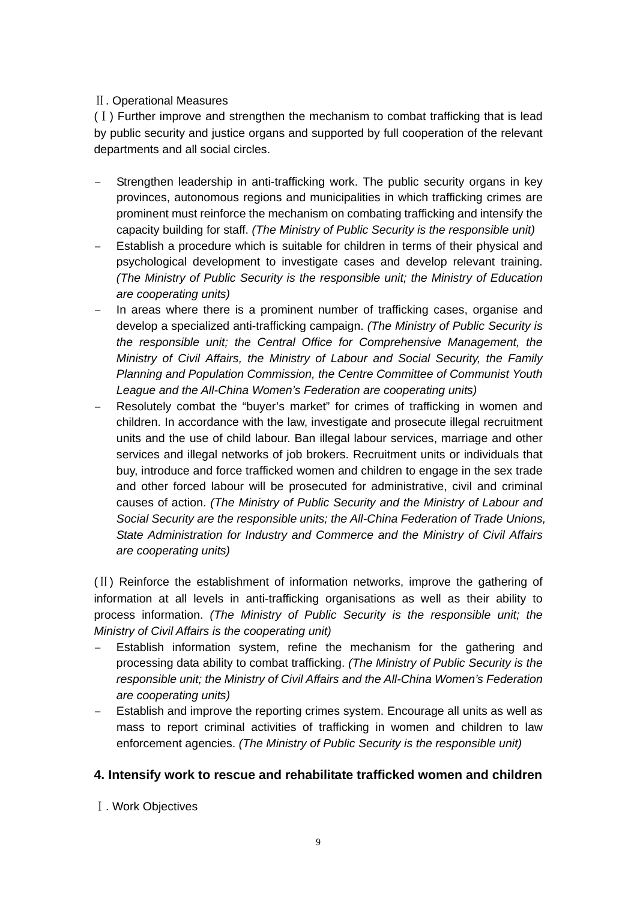### Ⅱ. Operational Measures

(Ⅰ) Further improve and strengthen the mechanism to combat trafficking that is lead by public security and justice organs and supported by full cooperation of the relevant departments and all social circles.

- Strengthen leadership in anti-trafficking work. The public security organs in key provinces, autonomous regions and municipalities in which trafficking crimes are prominent must reinforce the mechanism on combating trafficking and intensify the capacity building for staff. *(The Ministry of Public Security is the responsible unit)*
- Establish a procedure which is suitable for children in terms of their physical and psychological development to investigate cases and develop relevant training. *(The Ministry of Public Security is the responsible unit; the Ministry of Education are cooperating units)*
- In areas where there is a prominent number of trafficking cases, organise and develop a specialized anti-trafficking campaign. *(The Ministry of Public Security is the responsible unit; the Central Office for Comprehensive Management, the Ministry of Civil Affairs, the Ministry of Labour and Social Security, the Family Planning and Population Commission, the Centre Committee of Communist Youth League and the All-China Women's Federation are cooperating units)*
- Resolutely combat the "buyer's market" for crimes of trafficking in women and children. In accordance with the law, investigate and prosecute illegal recruitment units and the use of child labour. Ban illegal labour services, marriage and other services and illegal networks of job brokers. Recruitment units or individuals that buy, introduce and force trafficked women and children to engage in the sex trade and other forced labour will be prosecuted for administrative, civil and criminal causes of action. *(The Ministry of Public Security and the Ministry of Labour and Social Security are the responsible units; the All-China Federation of Trade Unions, State Administration for Industry and Commerce and the Ministry of Civil Affairs are cooperating units)*

(Ⅱ) Reinforce the establishment of information networks, improve the gathering of information at all levels in anti-trafficking organisations as well as their ability to process information. *(The Ministry of Public Security is the responsible unit; the Ministry of Civil Affairs is the cooperating unit)* 

- Establish information system, refine the mechanism for the gathering and processing data ability to combat trafficking. *(The Ministry of Public Security is the responsible unit; the Ministry of Civil Affairs and the All-China Women's Federation are cooperating units)*
- Establish and improve the reporting crimes system. Encourage all units as well as mass to report criminal activities of trafficking in women and children to law enforcement agencies. *(The Ministry of Public Security is the responsible unit)*

### **4. Intensify work to rescue and rehabilitate trafficked women and children**

Ⅰ. Work Objectives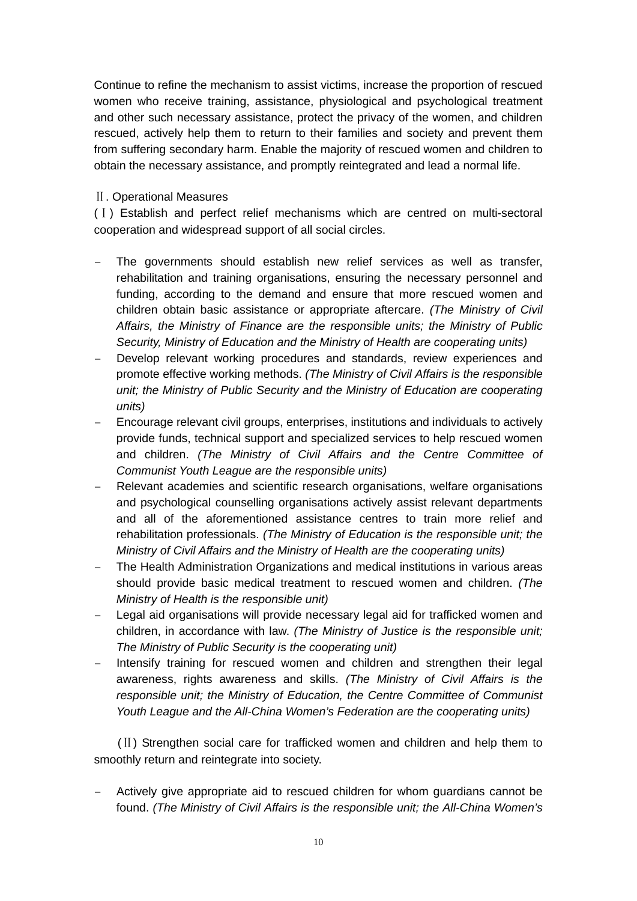Continue to refine the mechanism to assist victims, increase the proportion of rescued women who receive training, assistance, physiological and psychological treatment and other such necessary assistance, protect the privacy of the women, and children rescued, actively help them to return to their families and society and prevent them from suffering secondary harm. Enable the majority of rescued women and children to obtain the necessary assistance, and promptly reintegrated and lead a normal life.

#### Ⅱ. Operational Measures

(Ⅰ) Establish and perfect relief mechanisms which are centred on multi-sectoral cooperation and widespread support of all social circles.

- The governments should establish new relief services as well as transfer, rehabilitation and training organisations, ensuring the necessary personnel and funding, according to the demand and ensure that more rescued women and children obtain basic assistance or appropriate aftercare. *(The Ministry of Civil Affairs, the Ministry of Finance are the responsible units; the Ministry of Public Security, Ministry of Education and the Ministry of Health are cooperating units)*
- Develop relevant working procedures and standards, review experiences and promote effective working methods. *(The Ministry of Civil Affairs is the responsible unit; the Ministry of Public Security and the Ministry of Education are cooperating units)*
- Encourage relevant civil groups, enterprises, institutions and individuals to actively provide funds, technical support and specialized services to help rescued women and children. *(The Ministry of Civil Affairs and the Centre Committee of Communist Youth League are the responsible units)*
- Relevant academies and scientific research organisations, welfare organisations and psychological counselling organisations actively assist relevant departments and all of the aforementioned assistance centres to train more relief and rehabilitation professionals. *(The Ministry of Education is the responsible unit; the Ministry of Civil Affairs and the Ministry of Health are the cooperating units)*
- The Health Administration Organizations and medical institutions in various areas should provide basic medical treatment to rescued women and children. *(The Ministry of Health is the responsible unit)*
- Legal aid organisations will provide necessary legal aid for trafficked women and children, in accordance with law. *(The Ministry of Justice is the responsible unit; The Ministry of Public Security is the cooperating unit)*
- Intensify training for rescued women and children and strengthen their legal awareness, rights awareness and skills. *(The Ministry of Civil Affairs is the responsible unit; the Ministry of Education, the Centre Committee of Communist Youth League and the All-China Women's Federation are the cooperating units)*

(Ⅱ) Strengthen social care for trafficked women and children and help them to smoothly return and reintegrate into society.

– Actively give appropriate aid to rescued children for whom guardians cannot be found. *(The Ministry of Civil Affairs is the responsible unit; the All-China Women's*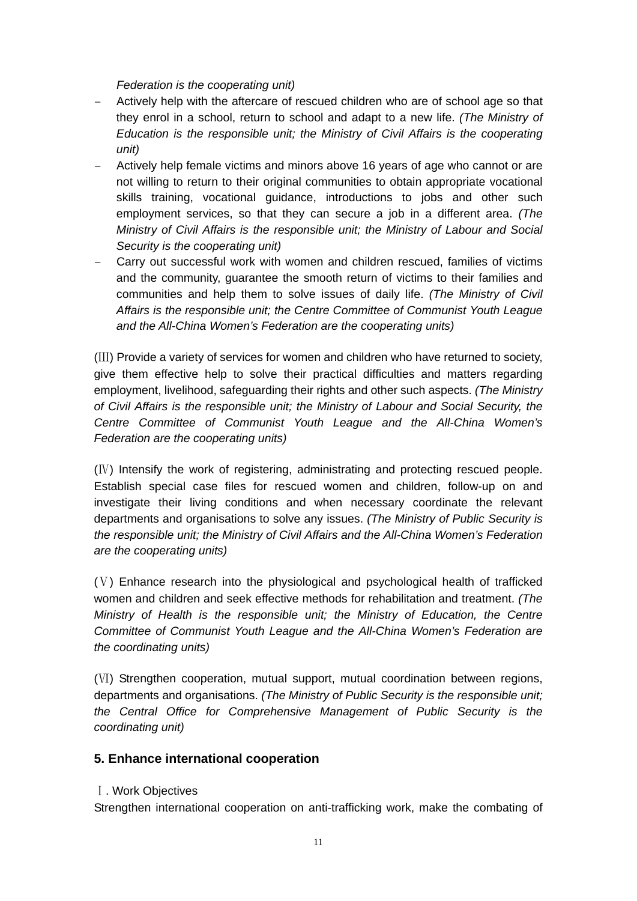*Federation is the cooperating unit)* 

- Actively help with the aftercare of rescued children who are of school age so that they enrol in a school, return to school and adapt to a new life. *(The Ministry of Education is the responsible unit; the Ministry of Civil Affairs is the cooperating unit)*
- Actively help female victims and minors above 16 years of age who cannot or are not willing to return to their original communities to obtain appropriate vocational skills training, vocational guidance, introductions to jobs and other such employment services, so that they can secure a job in a different area. *(The Ministry of Civil Affairs is the responsible unit; the Ministry of Labour and Social Security is the cooperating unit)*
- Carry out successful work with women and children rescued, families of victims and the community, guarantee the smooth return of victims to their families and communities and help them to solve issues of daily life. *(The Ministry of Civil Affairs is the responsible unit; the Centre Committee of Communist Youth League and the All-China Women's Federation are the cooperating units)*

(Ⅲ) Provide a variety of services for women and children who have returned to society, give them effective help to solve their practical difficulties and matters regarding employment, livelihood, safeguarding their rights and other such aspects. *(The Ministry of Civil Affairs is the responsible unit; the Ministry of Labour and Social Security, the Centre Committee of Communist Youth League and the All-China Women's Federation are the cooperating units)* 

(Ⅳ) Intensify the work of registering, administrating and protecting rescued people. Establish special case files for rescued women and children, follow-up on and investigate their living conditions and when necessary coordinate the relevant departments and organisations to solve any issues. *(The Ministry of Public Security is the responsible unit; the Ministry of Civil Affairs and the All-China Women's Federation are the cooperating units)* 

(Ⅴ) Enhance research into the physiological and psychological health of trafficked women and children and seek effective methods for rehabilitation and treatment. *(The Ministry of Health is the responsible unit; the Ministry of Education, the Centre Committee of Communist Youth League and the All-China Women's Federation are the coordinating units)*

(Ⅵ) Strengthen cooperation, mutual support, mutual coordination between regions, departments and organisations. *(The Ministry of Public Security is the responsible unit; the Central Office for Comprehensive Management of Public Security is the coordinating unit)* 

### **5. Enhance international cooperation**

#### Ⅰ. Work Objectives

Strengthen international cooperation on anti-trafficking work, make the combating of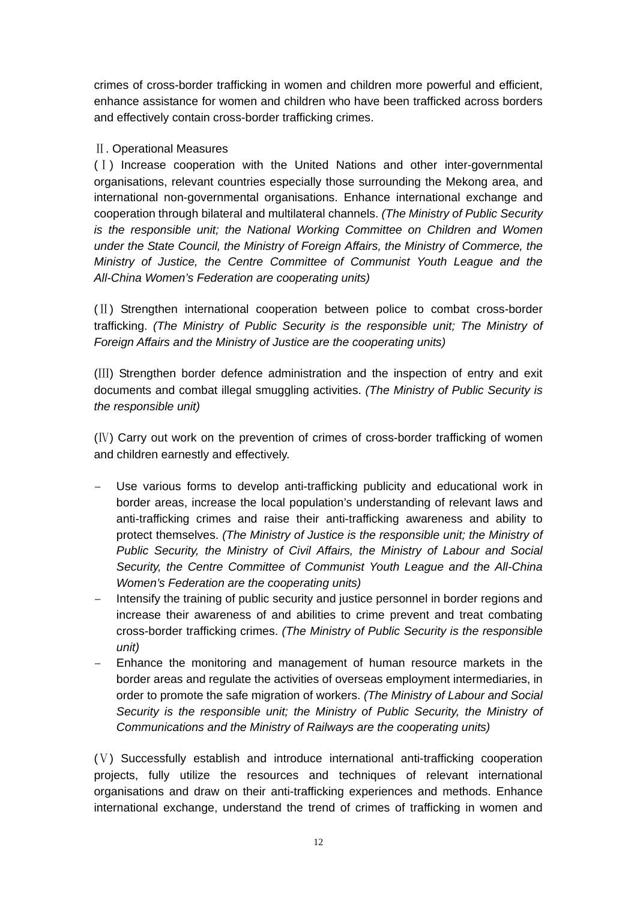crimes of cross-border trafficking in women and children more powerful and efficient, enhance assistance for women and children who have been trafficked across borders and effectively contain cross-border trafficking crimes.

#### Ⅱ. Operational Measures

(Ⅰ) Increase cooperation with the United Nations and other inter-governmental organisations, relevant countries especially those surrounding the Mekong area, and international non-governmental organisations. Enhance international exchange and cooperation through bilateral and multilateral channels. *(The Ministry of Public Security is the responsible unit; the National Working Committee on Children and Women under the State Council, the Ministry of Foreign Affairs, the Ministry of Commerce, the Ministry of Justice, the Centre Committee of Communist Youth League and the All-China Women's Federation are cooperating units)* 

(Ⅱ) Strengthen international cooperation between police to combat cross-border trafficking. *(The Ministry of Public Security is the responsible unit; The Ministry of Foreign Affairs and the Ministry of Justice are the cooperating units)* 

(Ⅲ) Strengthen border defence administration and the inspection of entry and exit documents and combat illegal smuggling activities. *(The Ministry of Public Security is the responsible unit)* 

(Ⅳ) Carry out work on the prevention of crimes of cross-border trafficking of women and children earnestly and effectively.

- Use various forms to develop anti-trafficking publicity and educational work in border areas, increase the local population's understanding of relevant laws and anti-trafficking crimes and raise their anti-trafficking awareness and ability to protect themselves. *(The Ministry of Justice is the responsible unit; the Ministry of Public Security, the Ministry of Civil Affairs, the Ministry of Labour and Social Security, the Centre Committee of Communist Youth League and the All-China Women's Federation are the cooperating units)*
- Intensify the training of public security and justice personnel in border regions and increase their awareness of and abilities to crime prevent and treat combating cross-border trafficking crimes. *(The Ministry of Public Security is the responsible unit)*
- Enhance the monitoring and management of human resource markets in the border areas and regulate the activities of overseas employment intermediaries, in order to promote the safe migration of workers. *(The Ministry of Labour and Social Security is the responsible unit; the Ministry of Public Security, the Ministry of Communications and the Ministry of Railways are the cooperating units)*

(Ⅴ) Successfully establish and introduce international anti-trafficking cooperation projects, fully utilize the resources and techniques of relevant international organisations and draw on their anti-trafficking experiences and methods. Enhance international exchange, understand the trend of crimes of trafficking in women and